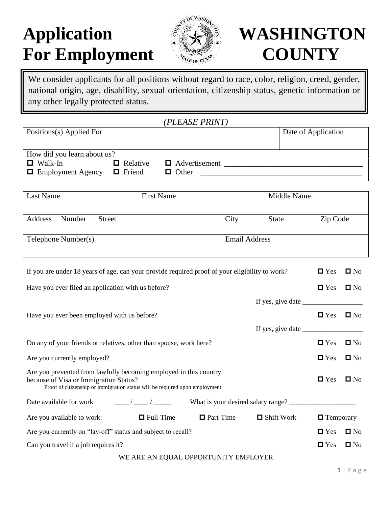# Application **WASHINGTON** For Employment **COUNTY**



We consider applicants for all positions without regard to race, color, religion, creed, gender, national origin, age, disability, sexual orientation, citizenship status, genetic information or any other legally protected status.

| Positions(s) Applied For    |                 |                      | Date of Application |
|-----------------------------|-----------------|----------------------|---------------------|
|                             |                 |                      |                     |
| How did you learn about us? |                 |                      |                     |
| $\Box$ Walk-In              | $\Box$ Relative | $\Box$ Advertisement |                     |
| $\Box$ Employment Agency    | $\Box$ Friend   | $\Box$ Other         |                     |

| Last Name                          | <b>First Name</b> |                      | Middle Name  |          |  |
|------------------------------------|-------------------|----------------------|--------------|----------|--|
| Number<br>Address<br><b>Street</b> |                   | City                 | <b>State</b> | Zip Code |  |
| Telephone Number(s)                |                   | <b>Email Address</b> |              |          |  |

| If you are under 18 years of age, can your provide required proof of your eligibility to work?                                                                                              | $\blacksquare$ Yes                                               | $\blacksquare$ No  |              |
|---------------------------------------------------------------------------------------------------------------------------------------------------------------------------------------------|------------------------------------------------------------------|--------------------|--------------|
| Have you ever filed an application with us before?                                                                                                                                          | $\blacksquare$ Yes                                               | $\square$ No       |              |
|                                                                                                                                                                                             | If yes, give date $\_\_\_\_\_\_\_\_\_\_\_\_\_\_\_\_\_\_\_\_\_\_$ |                    |              |
| Have you ever been employed with us before?                                                                                                                                                 |                                                                  | $\Box$ Yes         | $\square$ No |
|                                                                                                                                                                                             |                                                                  |                    |              |
| Do any of your friends or relatives, other than spouse, work here?                                                                                                                          |                                                                  | $\Box$ Yes         | $\square$ No |
| Are you currently employed?                                                                                                                                                                 |                                                                  | $\Box$ Yes         | $\square$ No |
| Are you prevented from lawfully becoming employed in this country<br>because of Visa or Immigration Status?<br>Proof of citizenship or immigration status will be required upon employment. |                                                                  | $\Box$ Yes         | $\square$ No |
|                                                                                                                                                                                             |                                                                  |                    |              |
| $\Box$ Part-Time $\Box$ Shift Work<br>Are you available to work: $\Box$ Full-Time                                                                                                           | $\blacksquare$ Temporary                                         |                    |              |
| Are you currently on "lay-off" status and subject to recall?                                                                                                                                |                                                                  | $\blacksquare$ Yes | $\square$ No |
| Can you travel if a job requires it?                                                                                                                                                        | $\blacksquare$ Yes                                               | $\square$ No       |              |
| WE ARE AN EQUAL OPPORTUNITY EMPLOYER                                                                                                                                                        |                                                                  |                    |              |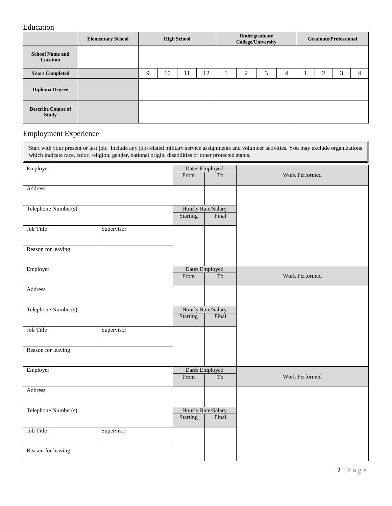### Education

|                                           | <b>Elementary School</b> | <b>High School</b> |    | Undergraduate<br><b>College/University</b> |    |  |   | <b>Graduate/Professional</b> |   |  |   |   |                |
|-------------------------------------------|--------------------------|--------------------|----|--------------------------------------------|----|--|---|------------------------------|---|--|---|---|----------------|
| <b>School Name and</b><br>Location        |                          |                    |    |                                            |    |  |   |                              |   |  |   |   |                |
| <b>Years Completed</b>                    |                          | Q                  | 10 | 11                                         | 12 |  | 2 | 3                            | 4 |  | ◠ | 3 | $\overline{4}$ |
| <b>Diploma Degree</b>                     |                          |                    |    |                                            |    |  |   |                              |   |  |   |   |                |
| <b>Describe Course of</b><br><b>Study</b> |                          |                    |    |                                            |    |  |   |                              |   |  |   |   |                |

## Employment Experience

| Start with your present or last job. Include any job-related military service assignments and volunteer activities. You may exclude organizations<br>which indicate race, color, religion, gender, national origin, disabilities or other protected status. |            |                                       |                             |                |  |  |  |
|-------------------------------------------------------------------------------------------------------------------------------------------------------------------------------------------------------------------------------------------------------------|------------|---------------------------------------|-----------------------------|----------------|--|--|--|
| Employer                                                                                                                                                                                                                                                    |            | Dates Employed<br>From                | To                          | Work Performed |  |  |  |
| Address                                                                                                                                                                                                                                                     |            |                                       |                             |                |  |  |  |
| Telephone Number(s)                                                                                                                                                                                                                                         |            | Hourly Rate/Salary<br><b>Starting</b> | Final                       |                |  |  |  |
| Job Title                                                                                                                                                                                                                                                   | Supervisor |                                       |                             |                |  |  |  |
| Reason for leaving                                                                                                                                                                                                                                          |            |                                       |                             |                |  |  |  |
| Employer                                                                                                                                                                                                                                                    |            | Dates Employed<br>From                | <b>To</b>                   | Work Performed |  |  |  |
| Address                                                                                                                                                                                                                                                     |            |                                       |                             |                |  |  |  |
| Telephone Number(s)                                                                                                                                                                                                                                         |            | Hourly Rate/Salary<br><b>Starting</b> | Final                       |                |  |  |  |
| Job Title                                                                                                                                                                                                                                                   | Supervisor |                                       |                             |                |  |  |  |
| Reason for leaving                                                                                                                                                                                                                                          |            |                                       |                             |                |  |  |  |
| Employer                                                                                                                                                                                                                                                    |            | Dates Employed<br>From                | $\operatorname{To}$         | Work Performed |  |  |  |
| Address                                                                                                                                                                                                                                                     |            |                                       |                             |                |  |  |  |
| Telephone Number(s)                                                                                                                                                                                                                                         |            | <b>Starting</b>                       | Hourly Rate/Salary<br>Final |                |  |  |  |
| Job Title                                                                                                                                                                                                                                                   | Supervisor |                                       |                             |                |  |  |  |
| Reason for leaving                                                                                                                                                                                                                                          |            |                                       |                             |                |  |  |  |

٦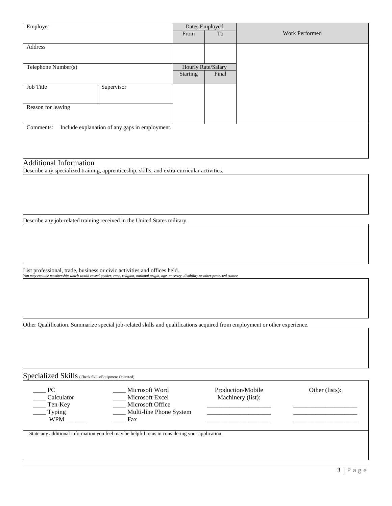| Employer            |                                                |          | Dates Employed     |                       |  |  |
|---------------------|------------------------------------------------|----------|--------------------|-----------------------|--|--|
|                     |                                                | From     | To                 | <b>Work Performed</b> |  |  |
|                     |                                                |          |                    |                       |  |  |
| Address             |                                                |          |                    |                       |  |  |
|                     |                                                |          |                    |                       |  |  |
| Telephone Number(s) |                                                |          | Hourly Rate/Salary |                       |  |  |
|                     |                                                | Starting | Final              |                       |  |  |
|                     |                                                |          |                    |                       |  |  |
| Job Title           | Supervisor                                     |          |                    |                       |  |  |
|                     |                                                |          |                    |                       |  |  |
| Reason for leaving  |                                                |          |                    |                       |  |  |
|                     |                                                |          |                    |                       |  |  |
|                     |                                                |          |                    |                       |  |  |
| Comments:           | Include explanation of any gaps in employment. |          |                    |                       |  |  |
|                     |                                                |          |                    |                       |  |  |
|                     |                                                |          |                    |                       |  |  |
|                     |                                                |          |                    |                       |  |  |

#### Additional Information

Describe any specialized training, apprenticeship, skills, and extra-curricular activities.

Describe any job-related training received in the United States military.

List professional, trade, business or civic activities and offices held. *You may exclude membership which would reveal gender, race, religion, national origin, age, ancestry, disability or other protected status:*

Other Qualification. Summarize special job-related skills and qualifications acquired from employment or other experience.

Specialized Skills (Check Skills/Equipment Operated)

| P <sub>C</sub> | Microsoft Word          | Production/Mobile | Other (lists): |
|----------------|-------------------------|-------------------|----------------|
| Calculator     | Microsoft Excel         | Machinery (list): |                |
| Ten-Key        | Microsoft Office        |                   |                |
| <b>Typing</b>  | Multi-line Phone System |                   |                |
| <b>WPM</b>     | Fax                     |                   |                |
|                |                         |                   |                |

State any additional information you feel may be helpful to us in considering your application.